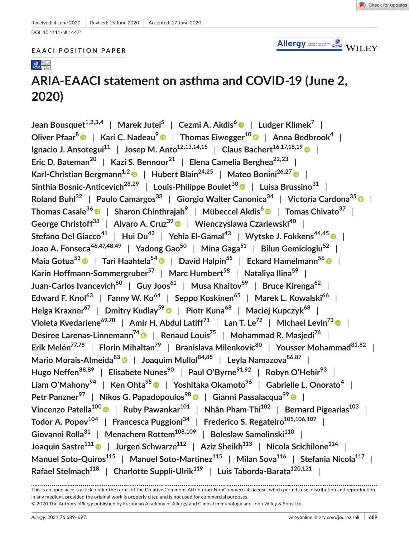DOI: 10.1111/all.14471

### **EAACI POSITION PAPER**



Check for updates

# EAACLE MAN

# **ARIA-EAACI statement on asthma and COVID-19 (June 2, 2020)**

**Jean Bousquet1,2,3,4** | **Marek Jutel<sup>5</sup>** | **Cezmi A. Akdis<sup>6</sup>** | **Ludger Klimek<sup>7</sup>** | **Oliver Pfaar<sup>8</sup>** | **Kari C. Nadeau9** | **Thomas Eiwegger10** | **Anna Bedbrook4** | **Ignacio J. Ansotegui<sup>11</sup>** | **Josep M. Anto12,13,14,15** | **Claus Bachert16,17,18,19** | **Eric D. Bateman20** | **Kazi S. Bennoor<sup>21</sup>** | **Elena Camelia Berghea22,23** | **Karl-Christian Bergmann1,2** | **Hubert Blain24,25** | **Mateo Bonini26,27** | **Sinthia Bosnic-Anticevich28,29** | **Louis-Philippe Boulet30** | **Luisa Brussino<sup>31</sup>** | **Roland Buhl32** | **Paulo Camargos<sup>33</sup>** | **Giorgio Walter Canonica34** | **Victoria Cardona35** | **Thomas Casale36** | **Sharon Chinthrajah<sup>9</sup>** | **Mübeccel Akdis<sup>6</sup>** | **Tomas Chivato<sup>37</sup>** | **George Christoff<sup>38</sup>** | **Alvaro A. Cruz39** | **Wienczyslawa Czarlewski<sup>40</sup>** | **Stefano Del Giacco<sup>41</sup>** | **Hui Du<sup>42</sup>** | **Yehia El-Gamal<sup>43</sup>** | **Wytske J. Fokkens44,45** | **Joao A. Fonseca46,47,48,49** | **Yadong Gao50** | **Mina Gaga<sup>51</sup>** | **Bilun Gemicioglu52** | **Maia Gotua53** | **Tari Haahtela54** | **David Halpin<sup>55</sup>** | **Eckard Hamelmann56** | **Karin Hoffmann-Sommergruber<sup>57</sup>** | **Marc Humbert<sup>58</sup>** | **Nataliya Ilina59** | **Juan-Carlos Ivancevich<sup>60</sup>** | **Guy Joos<sup>61</sup>** | **Musa Khaitov59** | **Bruce Kirenga<sup>62</sup>** | **Edward F. Knol<sup>63</sup>** | **Fanny W. Ko<sup>64</sup>** | **Seppo Koskinen<sup>65</sup>** | **Marek L. Kowalski<sup>66</sup>** | **Helga Kraxner67** | **Dmitry Kudlay59** | **Piotr Kuna<sup>68</sup>** | **Maciej Kupczyk68** | **Violeta Kvedariene69,70** | **Amir H. Abdul Latiff<sup>71</sup>** | **Lan T. Le<sup>72</sup>** | **Michael Levin73** | **Desiree Larenas-Linnemann<sup>74</sup>** | **Renaud Louis<sup>75</sup>** | **Mohammad R. Masjedi<sup>76</sup>** | **Erik Melén77,78** | **Florin Mihaltan79** | **Branislava Milenkovic80** | **Yousser Mohammad81,82** | **Mario Morais-Almeida<sup>83</sup>** | **Joaquim Mullol84,85** | **Leyla Namazova86,87** |  $\left| \frac{H_{\text{U}}}{2} \right|$  **Robyn**  $\left| \frac{B_{\text{S}}}{2} \right|$  **Elisabete Nunes**<sup>90</sup> | **Paul O'Byrne**<sup>91,92</sup> | **Robyn O'Hehir**<sup>93</sup> | **Liam O'Mahony<sup>94</sup>** | **Ken Ohta95** | **Yoshitaka Okamoto<sup>96</sup>** | **Gabrielle L. Onorato<sup>4</sup>** | **Petr** Panzner<sup>97</sup> | Nikos G. Papadopoulos<sup>98</sup> | Gianni Passalacqua<sup>99</sup> | **| Vincenzo** Patella<sup>100</sup> | Ruby Pawankar<sup>101</sup> | Nhân Pham-Thi<sup>102</sup> | Bernard Pigearias<sup>103</sup> | **Todor A. Popov104** | **Francesca Puggioni34** | **Frederico S. Regateiro105,106,107** | **Giovanni Rolla31** | **Menachem Rottem108,109** | **Boleslaw Samolinski110** | **Joaquin Sastre<sup>111</sup>** | **Jurgen Schwarze112** | **Aziz Sheikh<sup>113</sup>** | **Nicola Scichilone114** | **Manuel Soto-Quiros<sup>115</sup>** | **Manuel Soto-Martinez<sup>115</sup>** | **Milan Sova116** | **Stefania Nicola<sup>117</sup>** | **Rafael Stelmach118** | **Charlotte Suppli-Ulrik119** | **Luis Taborda-Barata120,121** |

This is an open access article under the terms of the Creative Commons Attribution-NonCommercial License, which permits use, distribution and reproduction in any medium, provided the original work is properly cited and is not used for commercial purposes.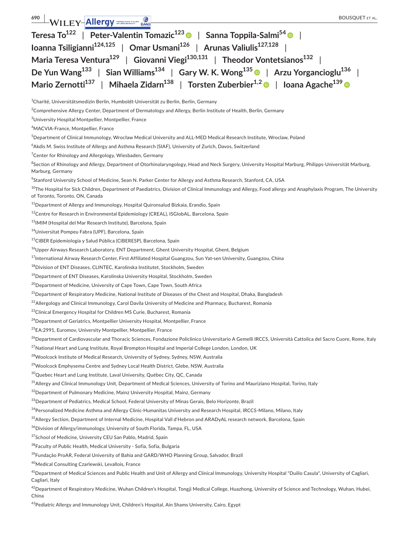| 690<br><b>BOUSQUET ET AL.</b><br>WILEY-Allergy                                                                                                                                                                                              |  |  |  |  |
|---------------------------------------------------------------------------------------------------------------------------------------------------------------------------------------------------------------------------------------------|--|--|--|--|
| Teresa To <sup>122</sup>   Peter-Valentin Tomazic <sup>123</sup>   Sanna Toppila-Salmi <sup>54</sup> ©                                                                                                                                      |  |  |  |  |
| Ioanna Tsiligianni <sup>124,125</sup>   Omar Usmani <sup>126</sup>   Arunas Valiulis <sup>127,128</sup>                                                                                                                                     |  |  |  |  |
| Maria Teresa Ventura <sup>129</sup>   Giovanni Viegi <sup>130,131</sup>   Theodor Vontetsianos <sup>132</sup>                                                                                                                               |  |  |  |  |
| De Yun Wang $^{133}$   Sian Williams $^{134}$   Gary W. K. Wong $^{135}$   Arzu Yorgancioglu $^{136}$                                                                                                                                       |  |  |  |  |
|                                                                                                                                                                                                                                             |  |  |  |  |
| Mario Zernotti <sup>137</sup>   Mihaela Zidarn <sup>138</sup>   Torsten Zuberbier <sup>1,2</sup>   Ioana Agache <sup>139</sup> ©                                                                                                            |  |  |  |  |
| <sup>1</sup> Charité, Universitätsmedizin Berlin, Humboldt-Universität zu Berlin, Berlin, Germany                                                                                                                                           |  |  |  |  |
| <sup>2</sup> Comprehensive Allergy Center, Department of Dermatology and Allergy, Berlin Institute of Health, Berlin, Germany                                                                                                               |  |  |  |  |
| <sup>3</sup> University Hospital Montpellier, Montpellier, France                                                                                                                                                                           |  |  |  |  |
| <sup>4</sup> MACVIA-France, Montpellier, France                                                                                                                                                                                             |  |  |  |  |
| <sup>5</sup> Department of Clinical Immunology, Wrocław Medical University and ALL-MED Medical Research Institute, Wroclaw, Poland                                                                                                          |  |  |  |  |
| <sup>6</sup> Akdis M. Swiss Institute of Allergy and Asthma Research (SIAF), University of Zurich, Davos, Switzerland                                                                                                                       |  |  |  |  |
| <sup>7</sup> Center for Rhinology and Allergology, Wiesbaden, Germany                                                                                                                                                                       |  |  |  |  |
| <sup>8</sup> Section of Rhinology and Allergy, Department of Otorhinolaryngology, Head and Neck Surgery, University Hospital Marburg, Philipps-Universität Marburg,<br>Marburg, Germany                                                     |  |  |  |  |
| <sup>9</sup> Stanford University School of Medicine, Sean N. Parker Center for Allergy and Asthma Research, Stanford, CA, USA                                                                                                               |  |  |  |  |
| <sup>10</sup> The Hospital for Sick Children, Department of Paediatrics, Division of Clinical Immunology and Allergy, Food allergy and Anaphylaxis Program, The University<br>of Toronto, Toronto, ON, Canada                               |  |  |  |  |
| <sup>11</sup> Department of Allergy and Immunology, Hospital Quironsalud Bizkaia, Erandio, Spain                                                                                                                                            |  |  |  |  |
| <sup>12</sup> Centre for Research in Environmental Epidemiology (CREAL), ISGlobAL, Barcelona, Spain                                                                                                                                         |  |  |  |  |
| <sup>13</sup> IMIM (Hospital del Mar Research Institute), Barcelona, Spain                                                                                                                                                                  |  |  |  |  |
| <sup>14</sup> Universitat Pompeu Fabra (UPF), Barcelona, Spain                                                                                                                                                                              |  |  |  |  |
| <sup>15</sup> CIBER Epidemiología y Salud Pública (CIBERESP), Barcelona, Spain                                                                                                                                                              |  |  |  |  |
| <sup>16</sup> Upper Airways Research Laboratory, ENT Department, Ghent University Hospital, Ghent, Belgium                                                                                                                                  |  |  |  |  |
| <sup>17</sup> International Airway Research Center, First Affiliated Hospital Guangzou, Sun Yat-sen University, Guangzou, China                                                                                                             |  |  |  |  |
| <sup>18</sup> Division of ENT Diseases, CLINTEC, Karolinska Institutet, Stockholm, Sweden                                                                                                                                                   |  |  |  |  |
| <sup>19</sup> Department of ENT Diseases, Karolinska University Hospital, Stockholm, Sweden                                                                                                                                                 |  |  |  |  |
| <sup>20</sup> Department of Medicine, University of Cape Town, Cape Town, South Africa                                                                                                                                                      |  |  |  |  |
| <sup>21</sup> Department of Respiratory Medicine, National Institute of Diseases of the Chest and Hospital, Dhaka, Bangladesh                                                                                                               |  |  |  |  |
| <sup>22</sup> Allergology and Clinical Immunology, Carol Davila University of Medicine and Pharmacy, Bucharest, Romania                                                                                                                     |  |  |  |  |
| <sup>23</sup> Clinical Emergency Hospital for Children MS Curie, Bucharest, Romania                                                                                                                                                         |  |  |  |  |
| <sup>24</sup> Department of Geriatrics, Montpellier University Hospital, Montpellier, France                                                                                                                                                |  |  |  |  |
| <sup>25</sup> EA:2991, Euromov, University Montpellier, Montpellier, France                                                                                                                                                                 |  |  |  |  |
| <sup>26</sup> Department of Cardiovascular and Thoracic Sciences, Fondazione Policlinico Universitario A Gemelli IRCCS, Università Cattolica del Sacro Cuore, Rome, Italy                                                                   |  |  |  |  |
| <sup>27</sup> National Heart and Lung Institute, Royal Brompton Hospital and Imperial College London, London, UK                                                                                                                            |  |  |  |  |
| <sup>28</sup> Woolcock Institute of Medical Research, University of Sydney, Sydney, NSW, Australia                                                                                                                                          |  |  |  |  |
| <sup>29</sup> Woolcock Emphysema Centre and Sydney Local Health District, Glebe, NSW, Australia                                                                                                                                             |  |  |  |  |
| <sup>30</sup> Quebec Heart and Lung Institute, Laval University, Québec City, QC, Canada<br><sup>31</sup> Allergy and Clinical Immunology Unit, Department of Medical Sciences, University of Torino and Mauriziano Hospital, Torino, Italy |  |  |  |  |
| <sup>32</sup> Department of Pulmonary Medicine, Mainz University Hospital, Mainz, Germany                                                                                                                                                   |  |  |  |  |
| <sup>33</sup> Department of Pediatrics, Medical School, Federal University of Minas Gerais, Belo Horizonte, Brazil                                                                                                                          |  |  |  |  |
| <sup>34</sup> Personalized Medicine Asthma and Allergy Clinic-Humanitas University and Research Hospital, IRCCS-Milano, Milano, Italy                                                                                                       |  |  |  |  |
| <sup>35</sup> Allergy Section, Department of Internal Medicine, Hospital Vall d'Hebron and ARADyAL research network, Barcelona, Spain                                                                                                       |  |  |  |  |
| <sup>36</sup> Division of Allergy/immunology, University of South Florida, Tampa, FL, USA                                                                                                                                                   |  |  |  |  |
| <sup>37</sup> School of Medicine, University CEU San Pablo, Madrid, Spain                                                                                                                                                                   |  |  |  |  |
| <sup>38</sup> Faculty of Public Health, Medical University - Sofia, Sofia, Bulgaria                                                                                                                                                         |  |  |  |  |
| <sup>39</sup> Fundação ProAR, Federal University of Bahia and GARD/WHO Planning Group, Salvador, Brazil                                                                                                                                     |  |  |  |  |
| <sup>40</sup> Medical Consulting Czarlewski, Levallois, France                                                                                                                                                                              |  |  |  |  |
| <sup>41</sup> Department of Medical Sciences and Public Health and Unit of Allergy and Clinical Immunology, University Hospital "Duilio Casula", University of Cagliari,                                                                    |  |  |  |  |
| Cagliari, Italy<br>$^{42}$ Department of Respiratory Medicine, Wuhan Children's Hospital, Tongji Medical College, Huazhong, University of Science and Technology, Wuhan, Hubei,<br>China                                                    |  |  |  |  |

Pediatric Allergy and Immunology Unit, Children's Hospital, Ain Shams University, Cairo, Egypt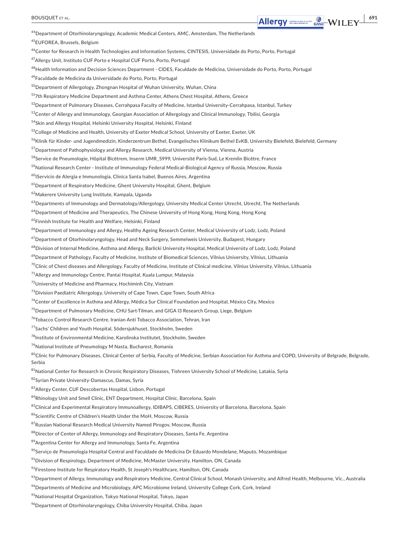| <b>BOUSQUET ET AL.</b>                                                                                                                                       | Allergy <u>- Allergy Aller</u> | 691 |
|--------------------------------------------------------------------------------------------------------------------------------------------------------------|--------------------------------|-----|
| <sup>44</sup> Department of Otorhinolaryngology, Academic Medical Centers, AMC, Amsterdam, The Netherlands                                                   |                                |     |
| <sup>45</sup> EUFOREA, Brussels, Belgium                                                                                                                     |                                |     |
| <sup>46</sup> Center for Research in Health Technologies and Information Systems, CINTESIS, Universidade do Porto, Porto, Portugal                           |                                |     |
| <sup>47</sup> Allergy Unit, Instituto CUF Porto e Hospital CUF Porto, Porto, Portugal                                                                        |                                |     |
| <sup>48</sup> Health Information and Decision Sciences Department - CIDES, Faculdade de Medicina, Universidade do Porto, Porto, Portugal                     |                                |     |
| <sup>49</sup> Faculdade de Medicina da Universidade do Porto, Porto, Portugal                                                                                |                                |     |
| <sup>50</sup> Department of Allergology, Zhongnan Hospital of Wuhan University, Wuhan, China                                                                 |                                |     |
| <sup>51</sup> 7th Respiratory Medicine Department and Asthma Center, Athens Chest Hospital, Athens, Greece                                                   |                                |     |
| <sup>52</sup> Department of Pulmonary Diseases, Cerrahpasa Faculty of Medicine, Istanbul University-Cerrahpasa, Istanbul, Turkey                             |                                |     |
| <sup>53</sup> Center of Allergy and Immunology, Georgian Association of Allergology and Clinical Immunology, Tbilisi, Georgia                                |                                |     |
| <sup>54</sup> Skin and Allergy Hospital, Helsinki University Hospital, Helsinki, Finland                                                                     |                                |     |
| <sup>55</sup> College of Medicine and Health, University of Exeter Medical School, University of Exeter, Exeter, UK                                          |                                |     |
| <sup>56</sup> Klinik für Kinder- und Jugendmedizin, Kinderzentrum Bethel, Evangelisches Klinikum Bethel EvKB, University Bielefeld, Bielefeld, Germany       |                                |     |
| <sup>57</sup> Department of Pathophysiology and Allergy Research, Medical University of Vienna, Vienna, Austria                                              |                                |     |
| <sup>58</sup> Service de Pneumologie, Hôpital Bicêtrem, Inserm UMR_S999, Université Paris-Sud, Le Kremlin Bicêtre, France                                    |                                |     |
| <sup>59</sup> National Research Center - Institute of Immunology Federal Medical-Biological Agency of Russia, Moscow, Russia                                 |                                |     |
| <sup>60</sup> Servicio de Alergia e Immunologia, Clinica Santa Isabel, Buenos Aires, Argentina                                                               |                                |     |
| <sup>61</sup> Department of Respiratory Medicine, Ghent University Hospital, Ghent, Belgium                                                                  |                                |     |
| <sup>62</sup> Makerere University Lung Institute, Kampala, Uganda                                                                                            |                                |     |
| <sup>63</sup> Departments of Immunology and Dermatology/Allergology, University Medical Center Utrecht, Utrecht, The Netherlands                             |                                |     |
| <sup>64</sup> Department of Medicine and Therapeutics, The Chinese University of Hong Kong, Hong Kong, Hong Kong                                             |                                |     |
| <sup>65</sup> Finnish Institute for Health and Welfare, Helsinki, Finland                                                                                    |                                |     |
| <sup>66</sup> Department of Immunology and Allergy, Healthy Ageing Research Center, Medical University of Lodz, Lodz, Poland                                 |                                |     |
| <sup>6</sup> /Department of Otorhinolaryngology, Head and Neck Surgery, Semmelweis University, Budapest, Hungary                                             |                                |     |
| <sup>68</sup> Division of Internal Medicine, Asthma and Allergy, Barlicki University Hospital, Medical University of Lodz, Lodz, Poland                      |                                |     |
| <sup>69</sup> Department of Pathology, Faculty of Medicine, Institute of Biomedical Sciences, Vilnius University, Vilnius, Lithuania                         |                                |     |
| <sup>70</sup> Clinic of Chest diseases and Allergology, Faculty of Medicine, Institute of Clinical medicine, Vilnius University, Vilnius, Lithuania          |                                |     |
| <sup>71</sup> Allergy and Immunology Centre, Pantai Hospital, Kuala Lumpur, Malaysia                                                                         |                                |     |
| <sup>72</sup> University of Medicine and Pharmacy, Hochiminh City, Vietnam                                                                                   |                                |     |
| <sup>73</sup> Division Paediatric Allergology, University of Cape Town, Cape Town, South Africa                                                              |                                |     |
| <sup>74</sup> Center of Excellence in Asthma and Allergy, Médica Sur Clinical Foundation and Hospital, México City, Mexico                                   |                                |     |
| <sup>75</sup> Department of Pulmonary Medicine, CHU Sart-Tilman, and GIGA 13 Research Group, Liege, Belgium                                                  |                                |     |
| <sup>76</sup> Tobacco Control Research Centre, Iranian Anti Tobacco Association, Tehran, Iran                                                                |                                |     |
| <sup>77</sup> Sachs' Children and Youth Hospital, Södersiukhuset, Stockholm, Sweden                                                                          |                                |     |
| <sup>78</sup> Institute of Environmental Medicine, Karolinska Institutet, Stockholm, Sweden                                                                  |                                |     |
| <sup>79</sup> National Institute of Pneumology M Nasta, Bucharest, Romania                                                                                   |                                |     |
| 80 Clinic for Pulmonary Diseases, Clinical Center of Serbia, Faculty of Medicine, Serbian Association for Asthma and COPD, University of Belgrade, Belgrade, |                                |     |
| Serbia                                                                                                                                                       |                                |     |
| 81 National Center for Research in Chronic Respiratory Diseases. Tishreen University School of Medicine. Latakia. Syria                                      |                                |     |
| 82 Syrian Private University-Damascus, Damas, Syria                                                                                                          |                                |     |
| <sup>83</sup> Allergy Center, CUF Descobertas Hospital, Lisbon, Portugal                                                                                     |                                |     |
| <sup>84</sup> Rhinology Unit and Smell Clinic, ENT Department, Hospital Clínic, Barcelona, Spain                                                             |                                |     |
| <sup>85</sup> Clinical and Experimental Respiratory Immunoallergy, IDIBAPS, CIBERES, University of Barcelona, Barcelona, Spain                               |                                |     |
| 86 Scientific Centre of Children's Health Under the MoH, Moscow, Russia                                                                                      |                                |     |
| <sup>87</sup> Russian National Research Medical University Named Pirogov, Moscow, Russia                                                                     |                                |     |
| 88 Director of Center of Allergy, Immunology and Respiratory Diseases, Santa Fe, Argentina                                                                   |                                |     |
| 89 Argentina Center for Allergy and Immunology, Santa Fe, Argentina                                                                                          |                                |     |
| $^{90}$ Servico de Pneumologia Hospital Central and Faculdade de Medicina Dr Eduardo Mondelane, Maputo, Mozambique                                           |                                |     |
| <sup>91</sup> Division of Respirology, Department of Medicine, McMaster University, Hamilton, ON, Canada                                                     |                                |     |
| <sup>92</sup> Firestone Institute for Respiratory Health, St Joseph's Healthcare, Hamilton, ON, Canada                                                       |                                |     |
| 93 Department of Allergy, Immunology and Respiratory Medicine, Central Clinical School, Monash University, and Alfred Health, Melbourne, Vic., Australia     |                                |     |
| 94 Departments of Medicine and Microbiology, APC Microbiome Ireland, University College Cork, Cork, Ireland                                                  |                                |     |

 $^{95}\!$  National Hospital Organization, Tokyo National Hospital, Tokyo, Japan

 $^{96}$ Department of Otorhinolaryngology, Chiba University Hospital, Chiba, Japan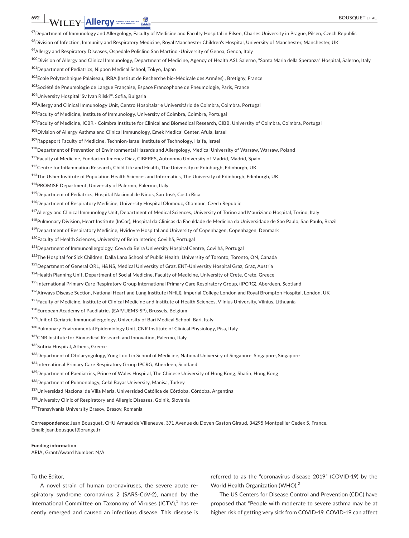## **EXAMPLE ANTENTIFY-ALL CONSULT ET AL.**

 $^{97}$ Department of Immunology and Allergology, Faculty of Medicine and Faculty Hospital in Pilsen, Charles University in Prague, Pilsen, Czech Republic

 $^{98}$ Division of Infection, Immunity and Respiratory Medicine, Royal Manchester Children's Hospital, University of Manchester, Manchester, UK

99<br>Allergy and Respiratory Diseases, Ospedale Policlino San Martino -University of Genoa, Genoa, Italy

<sup>100</sup>Division of Allergy and Clinical Immunology, Department of Medicine, Agency of Health ASL Salerno, "Santa Maria della Speranza" Hospital, Salerno, Italy

<sup>101</sup>Department of Pediatrics, Nippon Medical School, Tokyo, Japan

<sup>102</sup>Ecole Polytechnique Palaiseau, IRBA (Institut de Recherche bio-Médicale des Armées),, Bretigny, France

<sup>103</sup>Société de Pneumologie de Langue Française, Espace Francophone de Pneumologie, Paris, France

<sup>104</sup>University Hospital 'Sv Ivan Rilski'", Sofia, Bulgaria

105 Allergy and Clinical Immunology Unit, Centro Hospitalar e Universitário de Coimbra, Coimbra, Portugal

<sup>106</sup>Faculty of Medicine, Institute of Immunology, University of Coimbra, Coimbra, Portugal

<sup>107</sup>Faculty of Medicine, ICBR - Coimbra Institute for Clinical and Biomedical Research, CIBB, University of Coimbra, Coimbra, Portugal

108 Division of Allergy Asthma and Clinical Immunology, Emek Medical Center, Afula, Israel

<sup>109</sup>Rappaport Faculty of Medicine, Technion-Israel Institute of Technology, Haifa, Israel

<sup>110</sup>Department of Prevention of Envinronmental Hazards and Allergology, Medical University of Warsaw, Warsaw, Poland

111Faculty of Medicine, Fundacion Jimenez Diaz, CIBERES, Autonoma University of Madrid, Madrid, Spain

112Centre for Inflammation Research, Child Life and Health, The University of Edinburgh, Edinburgh, UK

113The Usher Institute of Population Health Sciences and Informatics, The University of Edinburgh, Edinburgh, UK

<sup>114</sup>PROMISE Department, University of Palermo, Palermo, Italy

115Department of Pediatrics, Hospital Nacional de Niños, San José, Costa Rica

116 Department of Respiratory Medicine, University Hospital Olomouc, Olomouc, Czech Republic

<sup>117</sup>Allergy and Clinical Immunology Unit, Department of Medical Sciences, University of Torino and Mauriziano Hospital, Torino, Italy

118Pulmonary Division, Heart Institute (InCor), Hospital da Clinicas da Faculdade de Medicina da Universidade de Sao Paulo, Sao Paulo, Brazil

<sup>119</sup> Department of Respiratory Medicine, Hvidovre Hospital and University of Copenhagen, Copenhagen, Denmark

120Faculty of Health Sciences, University of Beira Interior, Covilhã, Portugal

<sup>121</sup>Department of Immunoallergology, Cova da Beira University Hospital Centre, Covilhã, Portugal

<sup>122</sup>The Hospital for Sick Children, Dalla Lana School of Public Health, University of Toronto, Toronto, ON, Canada

123 Department of General ORL, H&NS, Medical University of Graz, ENT-University Hospital Graz, Graz, Austria

124 Health Planning Unit, Department of Social Medicine, Faculty of Medicine, University of Crete, Crete, Greece

<sup>125</sup>International Primary Care Respiratory Group International Primary Care Respiratory Group, (IPCRG), Aberdeen, Scotland

<sup>126</sup>Airways Disease Section, National Heart and Lung Institute (NHLI), Imperial College London and Royal Brompton Hospital, London, UK

<sup>127</sup>Faculty of Medicine, Institute of Clinical Medicine and Institute of Health Sciences, Vilnius University, Vilnius, Lithuania

<sup>128</sup>European Academy of Paediatrics (EAP/UEMS-SP), Brussels, Belgium

129 Unit of Geriatric Immunoallergology, University of Bari Medical School, Bari, Italy

130 Pulmonary Environmental Epidemiology Unit, CNR Institute of Clinical Physiology, Pisa, Italy

131CNR Institute for Biomedical Research and Innovation, Palermo, Italy

132 Sotiria Hospital, Athens, Greece

<sup>133</sup>Department of Otolaryngology, Yong Loo Lin School of Medicine, National University of Singapore, Singapore, Singapore

134 International Primary Care Respiratory Group IPCRG, Aberdeen, Scotland

<sup>135</sup>Department of Paediatrics, Prince of Wales Hospital, The Chinese University of Hong Kong, Shatin, Hong Kong

<sup>136</sup>Department of Pulmonology, Celal Bayar University, Manisa, Turkey

<sup>137</sup>Universidad Nacional de Villa Maria, Universidad Católica de Córdoba, Córdoba, Argentina

<sup>138</sup>University Clinic of Respiratory and Allergic Diseases, Golnik, Slovenia

<sup>139</sup>Transylvania University Brasov, Brasov, Romania

**Correspondence**: Jean Bousquet, CHU Arnaud de Villeneuve, 371 Avenue du Doyen Gaston Giraud, 34295 Montpellier Cedex 5, France. Email: jean.bousquet@orange.fr

#### **Funding information**

ARIA, Grant/Award Number: N/A

#### To the Editor,

A novel strain of human coronaviruses, the severe acute respiratory syndrome coronavirus 2 (SARS-CoV-2), named by the International Committee on Taxonomy of Viruses (ICTV), $^{\rm 1}$  has recently emerged and caused an infectious disease. This disease is

referred to as the "coronavirus disease 2019" (COVID-19) by the World Health Organization (WHO).<sup>2</sup>

The US Centers for Disease Control and Prevention (CDC) have proposed that "People with moderate to severe asthma may be at higher risk of getting very sick from COVID-19. COVID-19 can affect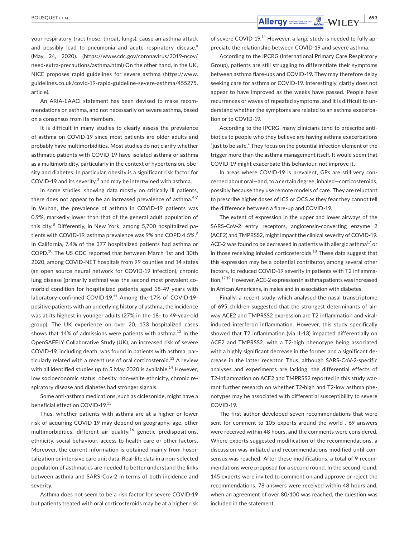your respiratory tract (nose, throat, lungs), cause an asthma attack and possibly lead to pneumonia and acute respiratory disease." (May 24, 2020). (https://www.cdc.gov/coronavirus/2019-ncov/ need-extra-precautions/asthma.html) On the other hand, in the UK, NICE proposes rapid guidelines for severe asthma (https://www. guidelines.co.uk/covid-19-rapid-guideline-severe-asthma/455275. article).

An ARIA-EAACI statement has been devised to make recommendations on asthma, and not necessarily on severe asthma, based on a consensus from its members.

It is difficult in many studies to clearly assess the prevalence of asthma on COVID-19 since most patients are older adults and probably have multimorbidities. Most studies do not clarify whether asthmatic patients with COVID-19 have isolated asthma or asthma as a multimorbidity, particularly in the context of hypertension, obesity and diabetes. In particular, obesity is a significant risk factor for COVID-19 and its severity, $^3$  and may be intertwined with asthma.

In some studies, showing data mostly on critically ill patients, there does not appear to be an increased prevalence of asthma. $4-7$ In Wuhan, the prevalence of asthma in COVID-19 patients was 0.9%, markedly lower than that of the general adult population of this city.<sup>8</sup> Differently, in New York, among 5,700 hospitalized patients with COVID-19, asthma prevalence was 9% and COPD 4.5%.<sup>9</sup> In California, 7.4% of the 377 hospitalized patients had asthma or COPD.<sup>10</sup> The US CDC reported that between March 1st and 30th 2020, among COVID-NET hospitals from 99 counties and 14 states (an open source neural network for COVID-19 infection), chronic lung disease (primarily asthma) was the second most prevalent comorbid condition for hospitalized patients aged 18-49 years with laboratory-confirmed COVID-19.<sup>11</sup> Among the 17% of COVID-19positive patients with an underlying history of asthma, the incidence was at its highest in younger adults (27% in the 18- to 49-year-old group). The UK experience on over 20, 133 hospitalized cases shows that 14% of admissions were patients with asthma.<sup>12</sup> In the OpenSAFELY Collaborative Study (UK), an increased risk of severe COVID-19, including death, was found in patients with asthma, particularly related with a recent use of oral corticosteroid.<sup>13</sup> A review with all identified studies up to 5 May 2020 is available.<sup>14</sup> However, low socioeconomic status, obesity, non-white ethnicity, chronic respiratory disease and diabetes had stronger signals.

Some anti-asthma medications, such as ciclesonide, might have a beneficial effect on COVID-19.15

Thus, whether patients with asthma are at a higher or lower risk of acquiring COVID-19 may depend on geography, age, other multimorbidities, different air quality,<sup>16</sup> genetic predispositions, ethnicity, social behaviour, access to health care or other factors. Moreover, the current information is obtained mainly from hospitalization or intensive care unit data. Real-life data in a non-selected population of asthmatics are needed to better understand the links between asthma and SARS-Cov-2 in terms of both incidence and severity.

Asthma does not seem to be a risk factor for severe COVID-19 but patients treated with oral corticosteroids may be at a higher risk of severe COVID-19.<sup>14</sup> However, a large study is needed to fully appreciate the relationship between COVID-19 and severe asthma.

According to the IPCRG (International Primary Care Respiratory Group), patients are still struggling to differentiate their symptoms between asthma flare-ups and COVID-19. They may therefore delay seeking care for asthma or COVID-19. Interestingly, clarity does not appear to have improved as the weeks have passed. People have recurrences or waves of repeated symptoms, and it is difficult to understand whether the symptoms are related to an asthma exacerbation or to COVID-19.

According to the IPCRG, many clinicians tend to prescribe antibiotics to people who they believe are having asthma exacerbations "just to be safe." They focus on the potential infection element of the trigger more than the asthma management itself. It would seem that COVID-19 might exacerbate this behaviour, not improve it.

In areas where COVID-19 is prevalent, GPs are still very concerned about oral—and, to a certain degree, inhaled—corticosteroids, possibly because they use remote models of care. They are reluctant to prescribe higher doses of ICS or OCS as they fear they cannot tell the difference between a flare-up and COVID-19.

The extent of expression in the upper and lower airways of the SARS-CoV-2 entry receptors, angiotensin-converting enzyme 2 (ACE2) and TMPRSS2, might impact the clinical severity of COVID-19. ACE-2 was found to be decreased in patients with allergic asthma<sup>17</sup> or in those receiving inhaled corticosteroids. $18$  These data suggest that this expression may be a potential contributor, among several other factors, to reduced COVID-19 severity in patients with T2 inflammation.17,19 However, ACE-2 expression in asthma patients was increased in African Americans, in males and in association with diabetes.

Finally, a recent study which analysed the nasal transcriptome of 695 children suggested that the strongest determinants of airway ACE2 and TMPRSS2 expression are T2 inflammation and viralinduced interferon inflammation. However, this study specifically showed that T2 inflammation (via IL-13) impacted differentially on ACE2 and TMPRSS2, with a T2-high phenotype being associated with a highly significant decrease in the former and a significant decrease in the latter receptor. Thus, although SARS-CoV-2-specific analyses and experiments are lacking, the differential effects of T2-inflammation on ACE2 and TMPRSS2 reported in this study warrant further research on whether T2-high and T2-low asthma phenotypes may be associated with differential susceptibility to severe COVID-19.

The first author developed seven recommendations that were sent for comment to 105 experts around the world . 69 answers were received within 48 hours, and the comments were considered. Where experts suggested modification of the recommendations, a discussion was initiated and recommendations modified until consensus was reached. After these modifications, a total of 9 recommendations were proposed for a second round. In the second round, 145 experts were invited to comment on and approve or reject the recommendations. 78 answers were received within 48 hours and, when an agreement of over 80/100 was reached, the question was included in the statement.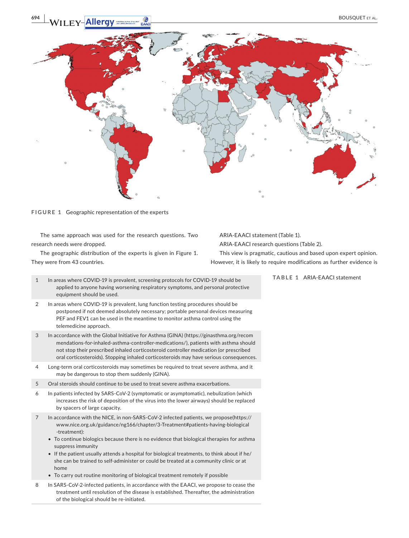

**FIGURE 1** Geographic representation of the experts

The same approach was used for the research questions. Two research needs were dropped.

The geographic distribution of the experts is given in Figure 1. They were from 43 countries.

1 In areas where COVID-19 is prevalent, screening protocols for COVID-19 should be applied to anyone having worsening respiratory symptoms, and personal protective equipment should be used.

- 2 In areas where COVID-19 is prevalent, lung function testing procedures should be postponed if not deemed absolutely necessary; portable personal devices measuring PEF and FEV1 can be used in the meantime to monitor asthma control using the telemedicine approach.
- 3 In accordance with the Global Initiative for Asthma (GINA) (https://ginasthma.org/recom mendations-for-inhaled-asthma-controller-medications/), patients with asthma should not stop their prescribed inhaled corticosteroid controller medication (or prescribed oral corticosteroids). Stopping inhaled corticosteroids may have serious consequences.
- 4 Long-term oral corticosteroids may sometimes be required to treat severe asthma, and it may be dangerous to stop them suddenly (GINA).
- 5 Oral steroids should continue to be used to treat severe asthma exacerbations.
- 6 In patients infected by SARS-CoV-2 (symptomatic or asymptomatic), nebulization (which increases the risk of deposition of the virus into the lower airways) should be replaced by spacers of large capacity.
- 7 In accordance with the NICE, in non-SARS-CoV-2 infected patients, we propose(https:// www.nice.org.uk/guidance/ng166/chapter/3-Treatment#patients-having-biological -treatment):
	- To continue biologics because there is no evidence that biological therapies for asthma suppress immunity
	- If the patient usually attends a hospital for biological treatments, to think about if he/ she can be trained to self-administer or could be treated at a community clinic or at home
	- To carry out routine monitoring of biological treatment remotely if possible
- 8 In SARS-CoV-2-infected patients, in accordance with the EAACI, we propose to cease the treatment until resolution of the disease is established. Thereafter, the administration of the biological should be re-initiated.

ARIA-EAACI statement (Table 1). ARIA-EAACI research questions (Table 2).

This view is pragmatic, cautious and based upon expert opinion. However, it is likely to require modifications as further evidence is

**TABLE 1** ARIA-EAACI statement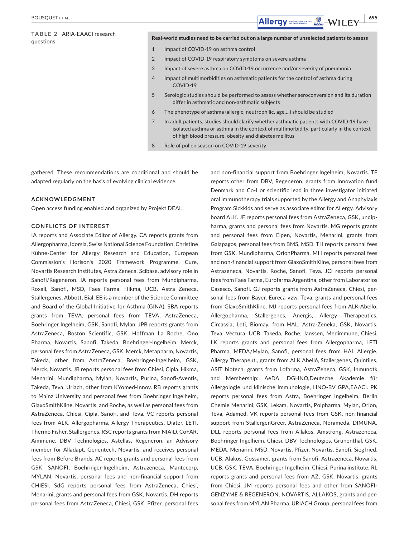#### **TABLE 2** ARIA-EAACI research questions

- 1 Impact of COVID-19 on asthma control
- 2 Impact of COVID-19 respiratory symptoms on severe asthma
- 3 Impact of severe asthma on COVID-19 occurrence and/or severity of pneumonia
- 4 Impact of multimorbidities on asthmatic patients for the control of asthma during COVID-19
- 5 Serologic studies should be performed to assess whether seroconversion and its duration differ in asthmatic and non-asthmatic subjects
- 6 The phenotype of asthma (allergic, neutrophilic, age….) should be studied
- 7 In adult patients, studies should clarify whether asthmatic patients with COVID-19 have isolated asthma or asthma in the context of multimorbidity, particularly in the context of high blood pressure, obesity and diabetes mellitus
- 8 Role of pollen season on COVID-19 severity

gathered. These recommendations are conditional and should be adapted regularly on the basis of evolving clinical evidence.

#### **ACKNOWLEDGMENT**

Open access funding enabled and organized by Projekt DEAL.

#### **CONFLICTS OF INTEREST**

IA reports and Associate Editor of Allergy. CA reports grants from Allergopharma, Idorsia, Swiss National Science Foundation, Christine Kühne-Center for Allergy Research and Education, European Commission's Horison's 2020 Framework Programme, Cure, Novartis Research Institutes, Astra Zeneca, Scibase, advisory role in Sanofi/Regeneron. IA reports personal fees from Mundipharma, Roxall, Sanofi, MSD, Faes Farma, Hikma, UCB, Astra Zeneca, Stallergenes, Abbott, Bial. EB is a member of the Science Committee and Board of the Global Initiative for Asthma (GINA). SBA reports grants from TEVA, personal fees from TEVA, AstraZeneca, Boehringer Ingelheim, GSK, Sanofi, Mylan. JPB reports grants from AstraZeneca, Boston Scientific, GSK, Hoffman La Roche, Ono Pharma, Novartis, Sanofi, Takeda, Boehringer-Ingelheim, Merck, personal fees from AstraZeneca, GSK, Merck, Metapharm, Novartis, Takeda, other from AstraZeneca, Boehringer-Ingelheim, GSK, Merck, Novartis. JB reports personal fees from Chiesi, Cipla, Hikma, Menarini, Mundipharma, Mylan, Novartis, Purina, Sanofi-Aventis, Takeda, Teva, Uriach, other from KYomed-Innov. RB reports grants to Mainz University and personal fees from Boehringer Ingelheim, GlaxoSmithKline, Novartis, and Roche, as well as personal fees from AstraZeneca, Chiesi, Cipla, Sanofi, and Teva. VC reports personal fees from ALK, Allergopharma, Allergy Therapeutics, Diater, LETI, Thermo Fisher, Stallergenes. RSC reports grants from NIAID, CoFAR, Aimmune, DBV Technologies, Astellas, Regeneron, an Advisory member for Alladapt, Genentech, Novartis, and receives personal fees from Before Brands. AC reports grants and personal fees from GSK, SANOFI, Boehringer-Ingelheim, Astrazeneca, Mantecorp, MYLAN, Novartis, personal fees and non-financial support from CHIESI. SdG reports personal fees from AstraZeneca, Chiesi, Menarini, grants and personal fees from GSK, Novartis. DH reports personal fees from AstraZeneca, Chiesi, GSK, Pfizer, personal fees

and non-financial support from Boehringer Ingelheim, Novartis. TE reports other from DBV, Regeneron, grants from Innovation fund Denmark and Co-I or scientific lead in three investigator initiated oral immunotherapy trials supported by the Allergy and Anaphylaxis Program Sickkids and serve as associate editor for Allergy. Advisory board ALK. JF reports personal fees from AstraZeneca, GSK, undipharma, grants and personal fees from Novartis. MG reports grants and personal fees from Elpen, Novartis, Menarini, grants from Galapagos, personal fees from BMS, MSD. TH reports personal fees from GSK, Mundipharma, OrionPharma. MH reports personal fees and non-financial support from GlaxoSmithKline, personal fees from Astrazeneca, Novartis, Roche, Sanofi, Teva. JCI reports personal fees from Faes Farma, Eurofarma Argentina, other from Laboratorios Casasco, Sanofi. GJ reports grants from AstraZeneca, Chiesi, personal fees from Bayer, Eureca vzw, Teva, grants and personal fees from GlaxoSmithKline. MJ reports personal fees from ALK-Abello, Allergopharma, Stallergenes, Anergis, Allergy Therapeutics, Circassia, Leti, Biomay, from HAL, Astra-Zeneka, GSK, Novartis, Teva, Vectura, UCB, Takeda, Roche, Janssen, Medimmune, Chiesi, LK reports grants and personal fees from Allergopharma, LETI Pharma, MEDA/Mylan, Sanofi, personal fees from HAL Allergie, Allergy Therapeut., grants from ALK Abelló, Stallergenes, Quintiles, ASIT biotech, grants from Lofarma, AstraZeneca, GSK, Inmunotk and Membership: AeDA, DGHNO,Deutsche Akademie für Allergologie und klinische Immunologie, HNO-BV GPA,EAACI. PK reports personal fees from Astra, Boehringer Ingelheim, Berlin Chemie Menarini, GSK, Lekam, Novartis, Polpharma, Mylan, Orion, Teva, Adamed. VK reports personal fees from GSK, non-financial support from StallergenGreer, AstraZeneca, Norameda, DIMUNA. DLL reports personal fees from Allakos, Amstrong, Astrazeneca, Boehringer Ingelheim, Chiesi, DBV Technologies, Grunenthal, GSK, MEDA, Menarini, MSD, Novartis, Pfizer, Novartis, Sanofi, Siegfried, UCB, Alakos, Gossamer, grants from Sanofi, Astrazeneca, Novartis, UCB, GSK, TEVA, Boehringer Ingelheim, Chiesi, Purina institute. RL reports grants and personal fees from AZ, GSK, Novartis, grants from Chiesi, JM reports personal fees and other from SANOFI-GENZYME & REGENERON, NOVARTIS, ALLAKOS, grants and personal fees from MYLAN Pharma, URIACH Group, personal fees from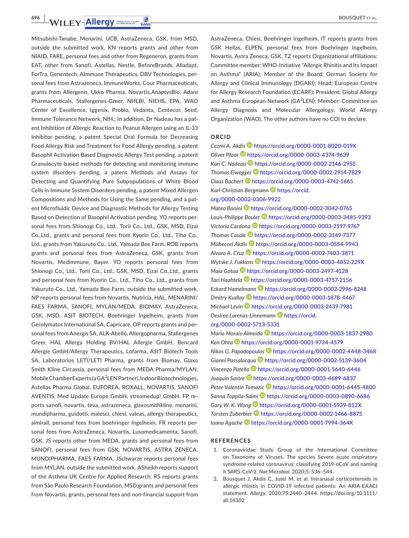**696 | WILEY-Allergy CONSTRUCT ET AL.** 

Mitsubishi-Tanabe, Menarini, UCB, AstraZeneca, GSK, from MSD, outside the submitted work. KN reports grants and other from NIAID, FARE, personal fees and other from Regeneron, grants from EAT, other from Sanofi, Astellas, Nestle, BeforeBrands, Alladapt, ForTra, Genentech, AImmune Therapeutics, DBV Technologies, personal fees from Astrazeneca, ImmuneWorks, Cour Pharmaceuticals, grants from Allergenis, Ukko Pharma, Novartis,AnaptysBio, Adare Pharmaceuticals, Stallergenes-Greer, NHLBI, NIEHS, EPA, WAO Center of Excellence, Iggenix, Probio, Vedanta, Centecor, Seed, Immune Tolerance Network, NIH,; In addition, Dr Nadeau has a patent Inhibition of Allergic Reaction to Peanut Allergen using an IL-33 Inhibitor pending, a patent Special Oral Formula for Decreasing Food Allergy Risk and Treatment for Food Allergy pending, a patent Basophil Activation Based Diagnostic Allergy Test pending, a patent Granulocyte-based methods for detecting and monitoring immune system disorders pending, a patent Methods and Assays for Detecting and Quantifying Pure Subpopulations of White Blood Cells in Immune System Disorders pending, a patent Mixed Allergen Compositions and Methods for Using the Same pending, and a patent Microfluidic Device and Diagnostic Methods for Allergy Testing Based on Detection of Basophil Activation pending. YO reports personal fees from Shionogi Co., Ltd., Torii Co., Ltd., GSK, MSD, Eizai Co.,Ltd., grants and personal fees from Kyorin Co., Ltd., Tiho Co., Ltd., grants from Yakuruto Co., Ltd., Yamada Bee Farm. ROB reports grants and personal fees from AstraZeneca, GSK, grants from Novartis, Medimmune, Bayer. YO reports personal fees from Shionogi Co., Ltd., Torii Co., Ltd., GSK, MSD, Eizai Co.,Ltd., grants and personal fees from Kyorin Co., Ltd., Tiho Co., Ltd., grants from Yakuruto Co., Ltd., Yamada Bee Farm, outside the submitted work. NP reports personal fees from Novartis, Nutricia, HAL, MENARINI/ FAES FARMA, SANOFI, MYLAN/MEDA, BIOMAY, AstraZeneca, GSK, MSD, ASIT BIOTECH, Boehringer Ingelheim, grants from Gerolymatos International SA, Capricare. OP reports grants and personal fees from Anergis SA, ALK-Abelló, Allergopharma, Stallergenes Greer, HAL Allergy Holding BV/HAL Allergie GmbH, Bencard Allergie GmbH/Allergy Therapeutics, Lofarma, ASIT Biotech Tools SA, Laboratorios LETI/LETI Pharma, grants from Biomay, Glaxo Smith Kline Circassia, personal fees from MEDA Pharma/MYLAN, Mobile Chamber Experts (a GA<sup>2</sup>LEN Partner), Indoor Biotechnologies, Astellas Pharma Global, EUFOREA, ROXALL, NOVARTIS, SANOFI AVENTIS, Med Update Europe GmbH, streamedup! GmbH. FP reports sanofi, novartis, teva, astrazeneca, glaxosmithkline, menarini, mundipharma, guidotti, malesci, chiesi, valeas, allergy therapeutics, almirall, personal fees from boehringer Ingelheim. FR reports personal fees from AstraZeneca, Novartis, Lusomedicamenta, Sanofi, GSK. JS reports other from MEDA, grants and personal fees from SANOFI, personal fees from GSK, NOVARTIS, ASTRA ZENECA, MUNDIPHARMA, FAES FARMA. JSchwarze reports personal fees from MYLAN, outside the submitted work. ASheikh reports support of the Asthma UK Centre for Applied Research. RS reports grants from São Paulo Research Foundation, MSD,grants and personal fees from Novartis, grants, personal fees and non-financial support from AstraZeneca, Chiesi, Boehringer Ingelheim. IT reports grants from GSK Hellas, ELPEN, personal fees from Boehringer Ingelheim, Novartis, Astra Zeneca, GSK. TZ reports Organizational affiliations: Committee member: WHO-Initiative "Allergic Rhinitis and Its Impact on Asthma" (ARIA); Member of the Board: German Society for Allergy and Clinical Immunology (DGAKI); Head: European Centre for Allergy Research Foundation (ECARF); President: Global Allergy and Asthma European Network (GA<sup>2</sup>LEN); Member: Committee on Allergy Diagnosis and Molecular Allergology, World Allergy Organization (WAO). The other authors have no COI to declare.

#### **ORCID**

*Cezmi A. Akdis* https://orcid.org/0000-0001-8020-019X *Oliver Pfaar* https://orcid.org/0000-0003-4374-9639 *Kari C. Nadeau* https://orcid.org/0000-0002-2146-2955 *Thomas Eiwegger* https://orcid.org/0000-0002-2914-7829 *Claus Bachert* https://orcid.org/0000-0003-4742-1665 *Karl-Christian Bergmann* **b** https://orcid. org/0000-0002-0306-9922

*Mateo Bonini* https://orcid.org/0000-0002-3042-0765 *Louis-Philippe Boulet* https://orcid.org/0000-0003-3485-9393 *Victoria Cardona* https://orcid.org/0000-0003-2197-9767 *Thomas Casale* https://orcid.org/0000-0002-3149-7377 *Mübeccel Akdis* https://orcid.org/0000-0003-0554-9943 *Alvaro A. Cruz* https://orcid.org/0000-0002-7403-3871 *Wytske J. Fokkens* https://orcid.org/0000-0003-4852-229X *Maia Gotua* https://orcid.org/0000-0003-2497-4128 *Tari Haahtela* https://orcid.org/0000-0003-4757-2156 *Eckard Hamelmann* https://orcid.org/0000-0002-2996-8248 *Dmitry Kudlay* https://orcid.org/0000-0003-1878-4467 *Michael Levin* https://orcid.org/0000-0003-2439-7981 *Desiree Larenas-Linnemann* **D** https://orcid. org/0000-0002-5713-5331

*Mario Morais-Almeida* https://orcid.org/0000-0003-1837-2980 *Ken Ohta* https://orcid.org/0000-0001-9734-4579 *Nikos G. Papadopoulos* https://orcid.org/0000-0002-4448-3468 *Gianni Passalacqua* https://orcid.org/0000-0002-5139-3604 *Vincenzo Patella* https://orcid.org/0000-0001-5640-6446 *Joaquin Sastre* https://orcid.org/0000-0003-4689-6837 *Peter-Valentin Tomazic* https://orcid.org/0000-0001-6445-4800 *Sanna Toppila-Salmi* https://orcid.org/0000-0003-0890-6686 *Gary W. K. Wong* https://orcid.org/0000-0001-5939-812X *Torsten Zuberbier* https://orcid.org/0000-0002-1466-8875 *Ioana Agache* https://orcid.org/0000-0001-7994-364X

#### **REFERENCES**

- 1. Coronaviridae Study Group of the International Committee on Taxonomy of Viruses. The species Severe acute respiratory syndrome-related coronavirus: classifying 2019-nCoV and naming it SARS-CoV-2. *Nat Microbiol*. 2020;5: 536–544.
- 2. Bousquet J, Akdis C, Jutel M, et al. Intranasal corticosteroids in allergic rhinitis in COVID-19 infected patients: An ARIA-EAACI statement. *Allergy*. 2020;75:2440–2444. https://doi.org/10.1111/ all.14302